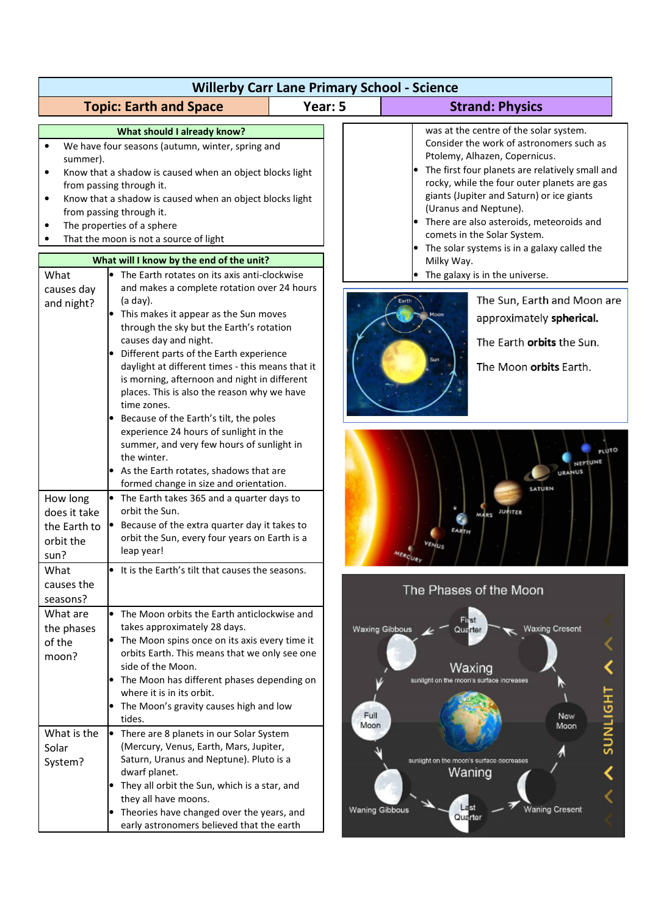| <b>Willerby Carr Lane Primary School - Science</b>                    |                                                                                                                                                                                                                                                                                                                                                                                                                                                                        |              |                                                                                                                                                                                                                                                                                                                                                                                                                                                                             |  |
|-----------------------------------------------------------------------|------------------------------------------------------------------------------------------------------------------------------------------------------------------------------------------------------------------------------------------------------------------------------------------------------------------------------------------------------------------------------------------------------------------------------------------------------------------------|--------------|-----------------------------------------------------------------------------------------------------------------------------------------------------------------------------------------------------------------------------------------------------------------------------------------------------------------------------------------------------------------------------------------------------------------------------------------------------------------------------|--|
|                                                                       | <b>Topic: Earth and Space</b>                                                                                                                                                                                                                                                                                                                                                                                                                                          | Year: 5      | <b>Strand: Physics</b>                                                                                                                                                                                                                                                                                                                                                                                                                                                      |  |
| summer).<br>$\bullet$<br>What                                         | What should I already know?<br>We have four seasons (autumn, winter, spring and<br>Know that a shadow is caused when an object blocks light<br>from passing through it.<br>Know that a shadow is caused when an object blocks light<br>from passing through it.<br>The properties of a sphere<br>That the moon is not a source of light<br>What will I know by the end of the unit?<br>• The Earth rotates on its axis anti-clockwise                                  |              | was at the centre of the solar system.<br>Consider the work of astronomers such as<br>Ptolemy, Alhazen, Copernicus.<br>• The first four planets are relatively small and<br>rocky, while the four outer planets are gas<br>giants (Jupiter and Saturn) or ice giants<br>(Uranus and Neptune).<br>• There are also asteroids, meteoroids and<br>comets in the Solar System.<br>• The solar systems is in a galaxy called the<br>Milky Way.<br>The galaxy is in the universe. |  |
| causes day<br>and night?                                              | and makes a complete rotation over 24 hours<br>(a day).<br>This makes it appear as the Sun moves<br>through the sky but the Earth's rotation<br>causes day and night.<br>Different parts of the Earth experience<br>daylight at different times - this means that it<br>is morning, afternoon and night in different<br>places. This is also the reason why we have<br>time zones.<br>Because of the Earth's tilt, the poles<br>experience 24 hours of sunlight in the |              | The Sun, Earth and Moon are<br>approximately spherical.<br>The Earth orbits the Sun.<br>The Moon orbits Earth.                                                                                                                                                                                                                                                                                                                                                              |  |
| How long<br>does it take<br>the Earth to<br>orbit the<br>sun?<br>What | summer, and very few hours of sunlight in<br>the winter.<br>As the Earth rotates, shadows that are<br>formed change in size and orientation.<br>$\bullet$ The Earth takes 365 and a quarter days to<br>orbit the Sun.<br>Because of the extra quarter day it takes to<br>orbit the Sun, every four years on Earth is a<br>leap year!<br>• It is the Earth's tilt that causes the seasons.                                                                              |              | MARS JUPITER                                                                                                                                                                                                                                                                                                                                                                                                                                                                |  |
| causes the<br>seasons?                                                |                                                                                                                                                                                                                                                                                                                                                                                                                                                                        |              | The Phases of the Moon                                                                                                                                                                                                                                                                                                                                                                                                                                                      |  |
| What are<br>the phases<br>of the<br>moon?                             | • The Moon orbits the Earth anticlockwise and<br>takes approximately 28 days.<br>$\bullet$ The Moon spins once on its axis every time it<br>orbits Earth. This means that we only see one<br>side of the Moon.<br>• The Moon has different phases depending on<br>where it is in its orbit.<br>• The Moon's gravity causes high and low<br>tides.                                                                                                                      | Full<br>Moon | aff <sub>st</sub><br><b>Waxing Cresent</b><br><b>Waxing Gibbous</b><br>Quarter<br>Waxing<br>sunlight on the moon's surface increases<br><b>HPITNDS</b><br><b>New</b><br>Moon                                                                                                                                                                                                                                                                                                |  |
| What is the<br>Solar<br>System?                                       | There are 8 planets in our Solar System<br>(Mercury, Venus, Earth, Mars, Jupiter,<br>Saturn, Uranus and Neptune). Pluto is a<br>dwarf planet.<br>They all orbit the Sun, which is a star, and<br>they all have moons.<br>Theories have changed over the years, and<br>early astronomers believed that the earth                                                                                                                                                        |              | sunlight on the moon's surface decreases<br>Waning<br><b>Waning Cresent</b><br><b>Waning Gibbous</b><br>Quarter                                                                                                                                                                                                                                                                                                                                                             |  |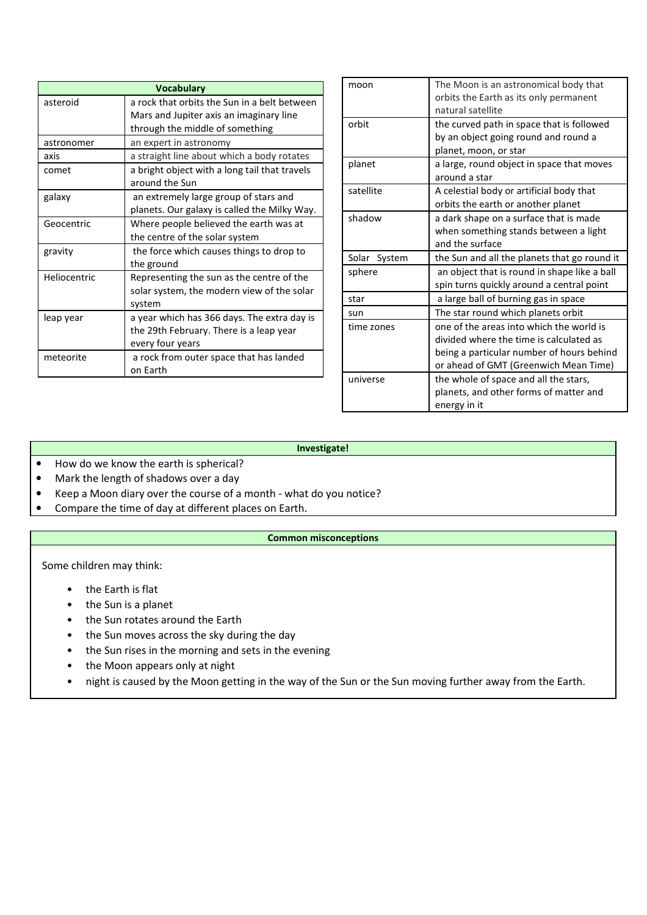| <b>Vocabulary</b> |                                                                                                            |  |
|-------------------|------------------------------------------------------------------------------------------------------------|--|
| asteroid          | a rock that orbits the Sun in a belt between<br>Mars and Jupiter axis an imaginary line                    |  |
|                   | through the middle of something                                                                            |  |
| astronomer        | an expert in astronomy                                                                                     |  |
| axis              | a straight line about which a body rotates                                                                 |  |
| comet             | a bright object with a long tail that travels<br>around the Sun                                            |  |
| galaxy            | an extremely large group of stars and<br>planets. Our galaxy is called the Milky Way.                      |  |
| Geocentric        | Where people believed the earth was at<br>the centre of the solar system                                   |  |
| gravity           | the force which causes things to drop to<br>the ground                                                     |  |
| Heliocentric      | Representing the sun as the centre of the<br>solar system, the modern view of the solar<br>system          |  |
| leap year         | a year which has 366 days. The extra day is<br>the 29th February. There is a leap year<br>every four years |  |
| meteorite         | a rock from outer space that has landed<br>on Earth                                                        |  |

| moon         | The Moon is an astronomical body that<br>orbits the Earth as its only permanent<br>natural satellite                                                                      |
|--------------|---------------------------------------------------------------------------------------------------------------------------------------------------------------------------|
| orbit        | the curved path in space that is followed<br>by an object going round and round a<br>planet, moon, or star                                                                |
| planet       | a large, round object in space that moves<br>around a star                                                                                                                |
| satellite    | A celestial body or artificial body that<br>orbits the earth or another planet                                                                                            |
| shadow       | a dark shape on a surface that is made<br>when something stands between a light<br>and the surface                                                                        |
| Solar System | the Sun and all the planets that go round it                                                                                                                              |
| sphere       | an object that is round in shape like a ball<br>spin turns quickly around a central point                                                                                 |
| star         | a large ball of burning gas in space                                                                                                                                      |
| sun          | The star round which planets orbit                                                                                                                                        |
| time zones   | one of the areas into which the world is<br>divided where the time is calculated as<br>being a particular number of hours behind<br>or ahead of GMT (Greenwich Mean Time) |
| universe     | the whole of space and all the stars,<br>planets, and other forms of matter and<br>energy in it                                                                           |

## **Investigate!**

- How do we know the earth is spherical?
- Mark the length of shadows over a day
- Keep a Moon diary over the course of a month what do you notice?
- Compare the time of day at different places on Earth.

## **Common misconceptions**

Some children may think:

- the Earth is flat
- the Sun is a planet
- the Sun rotates around the Earth
- the Sun moves across the sky during the day
- the Sun rises in the morning and sets in the evening
- the Moon appears only at night
- night is caused by the Moon getting in the way of the Sun or the Sun moving further away from the Earth.